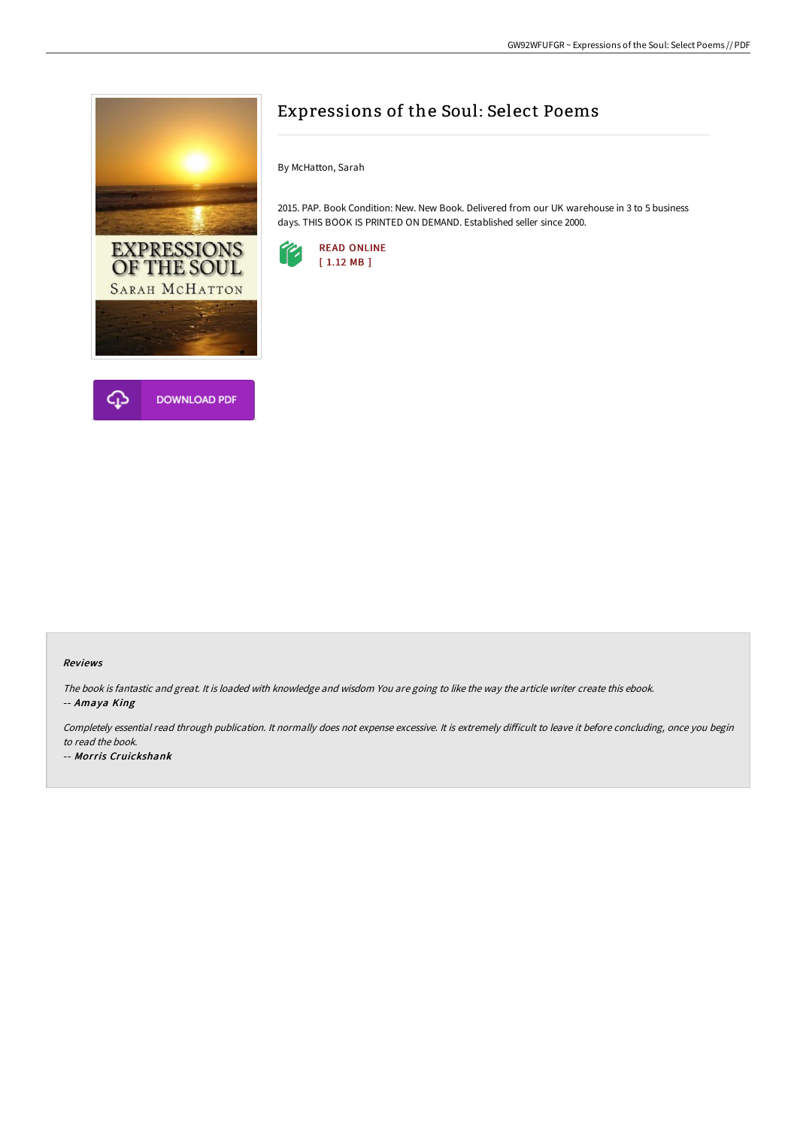

## Expressions of the Soul: Select Poems

By McHatton, Sarah

2015. PAP. Book Condition: New. New Book. Delivered from our UK warehouse in 3 to 5 business days. THIS BOOK IS PRINTED ON DEMAND. Established seller since 2000.



## Reviews

The book is fantastic and great. It is loaded with knowledge and wisdom You are going to like the way the article writer create this ebook. -- Amaya King

Completely essential read through publication. It normally does not expense excessive. It is extremely difficult to leave it before concluding, once you begin to read the book.

-- Morris Cruickshank